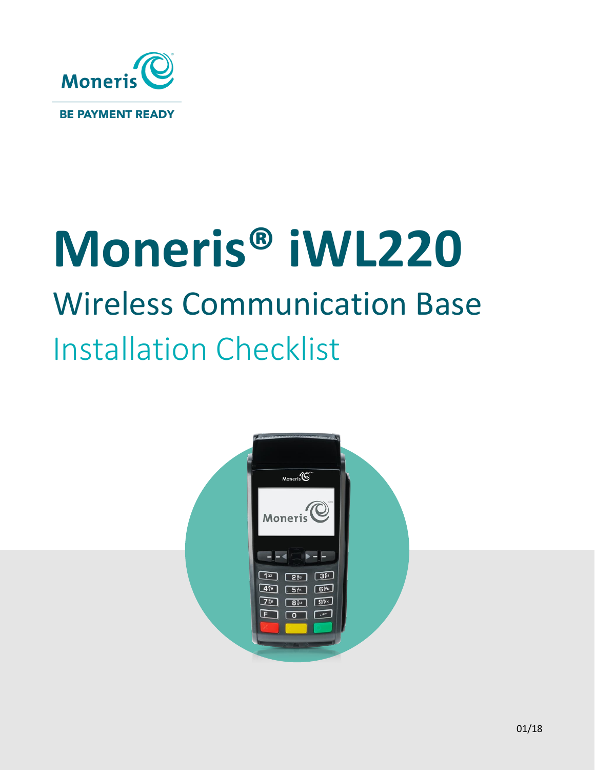

# **Moneris® iWL220** Wireless Communication Base Installation Checklist

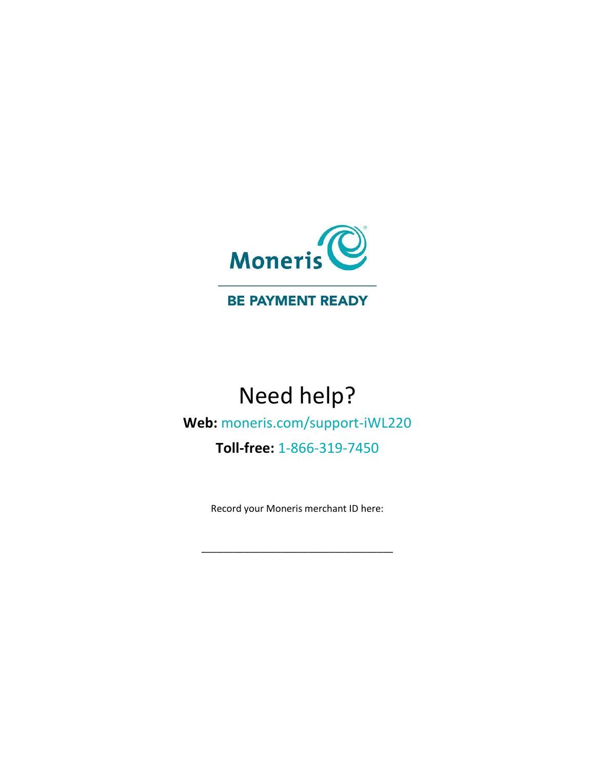

#### **BE PAYMENT READY**

## Need help?

## **Web:** [moneris.com/support-iWL220](https://moneris.com/support-iwl220)

## **Toll-free:** 1-866-319-7450

Record your Moneris merchant ID here:

\_\_\_\_\_\_\_\_\_\_\_\_\_\_\_\_\_\_\_\_\_\_\_\_\_\_\_\_\_\_\_\_\_\_\_\_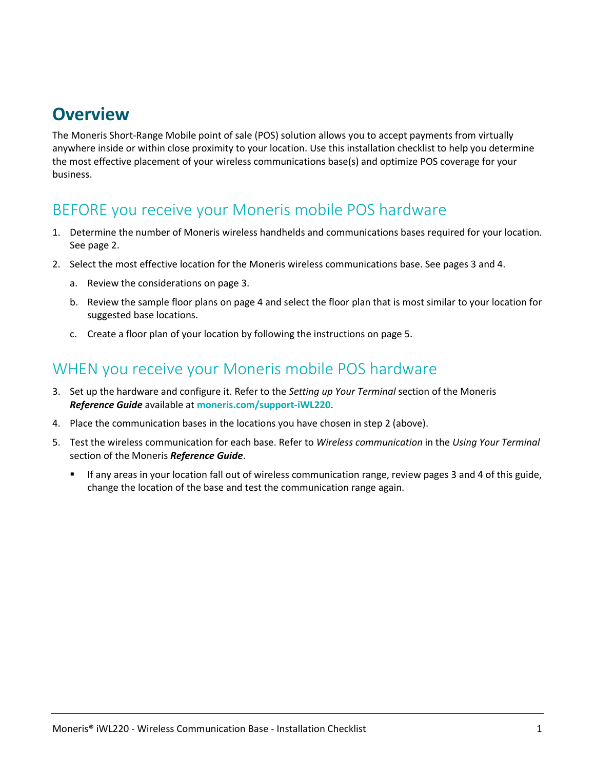## **Overview**

The Moneris Short-Range Mobile point of sale (POS) solution allows you to accept payments from virtually anywhere inside or within close proximity to your location. Use this installation checklist to help you determine the most effective placement of your wireless communications base(s) and optimize POS coverage for your business.

## BEFORE you receive your Moneris mobile POS hardware

- 1. Determine the number of Moneris wireless handhelds and communications bases required for your location. See pag[e 2.](#page-3-0)
- 2. Select the most effective location for the Moneris wireless communications base. See pages 3 and 4.
	- a. Review the considerations on page [3.](#page-4-0)
	- b. Review the sample floor plans on page 4 and select the floor plan that is most similar to your location for suggested base locations.
	- c. Create a floor plan of your location by following the instructions on page 5.

### WHEN you receive your Moneris mobile POS hardware

- 3. Set up the hardware and configure it. Refer to the *Setting up Your Terminal* section of the Moneris *Reference Guide* available at **[moneris.com/support-iWL220](https://moneris.com/support-iwl220)**.
- 4. Place the communication bases in the locations you have chosen in step 2 (above).
- 5. Test the wireless communication for each base. Refer to *Wireless communication* in the *Using Your Terminal* section of the Moneris *Reference Guide*.
	- If any areas in your location fall out of wireless communication range, review pages 3 and 4 of this guide, change the location of the base and test the communication range again.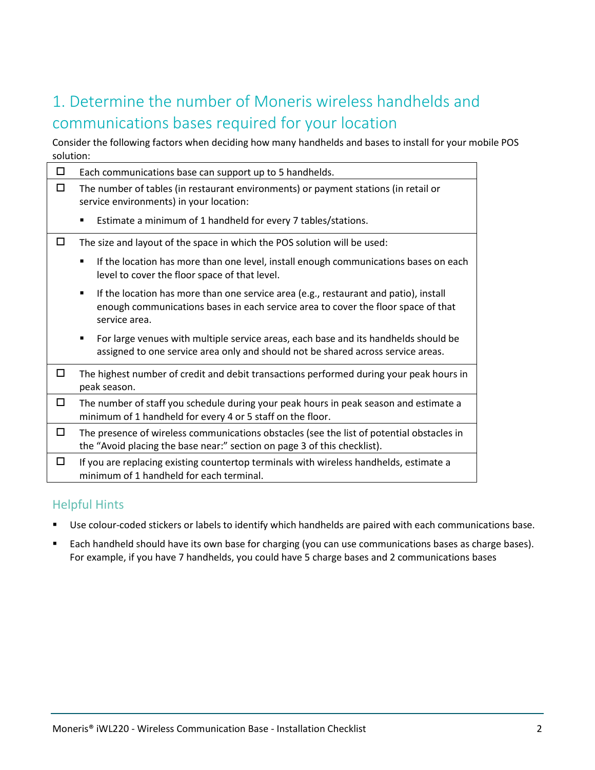## <span id="page-3-0"></span>1. Determine the number of Moneris wireless handhelds and communications bases required for your location

Consider the following factors when deciding how many handhelds and bases to install for your mobile POS solution:

| □ | Each communications base can support up to 5 handhelds.                                                                                                                                                      |  |  |  |  |  |  |  |  |  |  |
|---|--------------------------------------------------------------------------------------------------------------------------------------------------------------------------------------------------------------|--|--|--|--|--|--|--|--|--|--|
| □ | The number of tables (in restaurant environments) or payment stations (in retail or<br>service environments) in your location:                                                                               |  |  |  |  |  |  |  |  |  |  |
|   | Estimate a minimum of 1 handheld for every 7 tables/stations.<br>٠                                                                                                                                           |  |  |  |  |  |  |  |  |  |  |
| п | The size and layout of the space in which the POS solution will be used:                                                                                                                                     |  |  |  |  |  |  |  |  |  |  |
|   | If the location has more than one level, install enough communications bases on each<br>٠<br>level to cover the floor space of that level.                                                                   |  |  |  |  |  |  |  |  |  |  |
|   | If the location has more than one service area (e.g., restaurant and patio), install<br>$\blacksquare$<br>enough communications bases in each service area to cover the floor space of that<br>service area. |  |  |  |  |  |  |  |  |  |  |
|   | For large venues with multiple service areas, each base and its handhelds should be<br>٠<br>assigned to one service area only and should not be shared across service areas.                                 |  |  |  |  |  |  |  |  |  |  |
| □ | The highest number of credit and debit transactions performed during your peak hours in<br>peak season.                                                                                                      |  |  |  |  |  |  |  |  |  |  |
| □ | The number of staff you schedule during your peak hours in peak season and estimate a<br>minimum of 1 handheld for every 4 or 5 staff on the floor.                                                          |  |  |  |  |  |  |  |  |  |  |
| □ | The presence of wireless communications obstacles (see the list of potential obstacles in<br>the "Avoid placing the base near:" section on page 3 of this checklist).                                        |  |  |  |  |  |  |  |  |  |  |
| □ | If you are replacing existing countertop terminals with wireless handhelds, estimate a<br>minimum of 1 handheld for each terminal.                                                                           |  |  |  |  |  |  |  |  |  |  |

#### Helpful Hints

- Use colour-coded stickers or labels to identify which handhelds are paired with each communications base.
- **Each handheld should have its own base for charging (you can use communications bases as charge bases).** For example, if you have 7 handhelds, you could have 5 charge bases and 2 communications bases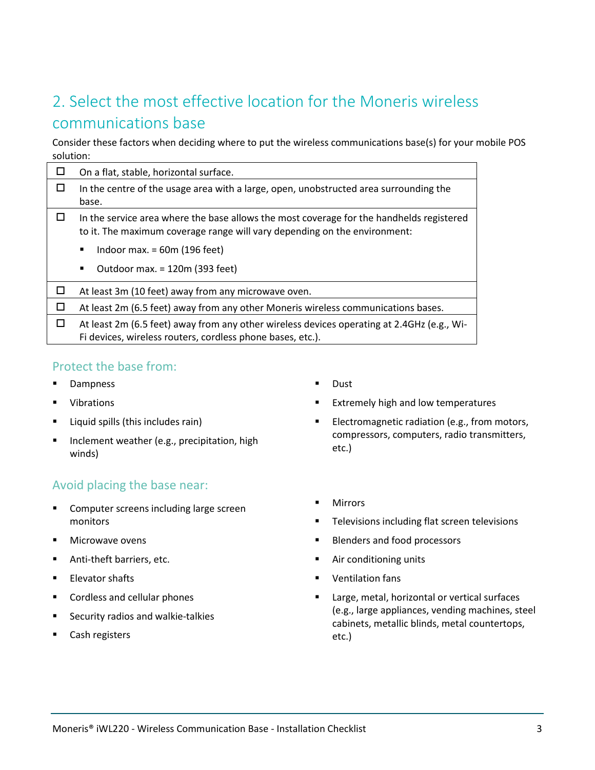## <span id="page-4-0"></span>2. Select the most effective location for the Moneris wireless communications base

Consider these factors when deciding where to put the wireless communications base(s) for your mobile POS solution:

|        | On a flat, stable, horizontal surface.                                                                                                                                |  |  |  |  |  |  |  |  |  |
|--------|-----------------------------------------------------------------------------------------------------------------------------------------------------------------------|--|--|--|--|--|--|--|--|--|
|        | In the centre of the usage area with a large, open, unobstructed area surrounding the<br>base.                                                                        |  |  |  |  |  |  |  |  |  |
|        | In the service area where the base allows the most coverage for the handhelds registered<br>to it. The maximum coverage range will vary depending on the environment: |  |  |  |  |  |  |  |  |  |
|        | Indoor max. $= 60$ m (196 feet)<br>٠                                                                                                                                  |  |  |  |  |  |  |  |  |  |
|        | Outdoor max. = 120m (393 feet)<br>٠                                                                                                                                   |  |  |  |  |  |  |  |  |  |
|        | At least 3m (10 feet) away from any microwave oven.                                                                                                                   |  |  |  |  |  |  |  |  |  |
| $\Box$ | At least 2m (6.5 feet) away from any other Moneris wireless communications bases.                                                                                     |  |  |  |  |  |  |  |  |  |
| □      | At least 2m (6.5 feet) away from any other wireless devices operating at 2.4GHz (e.g., Wi-<br>Fi devices, wireless routers, cordless phone bases, etc.).              |  |  |  |  |  |  |  |  |  |

#### Protect the base from:

- **-** Dampness
- **U** Vibrations
- Liquid spills (this includes rain)
- **Inclement weather (e.g., precipitation, high** winds)

#### Avoid placing the base near:

- **EXECOMPUTER SCREEDS** Including large screen monitors
- **Nicrowave ovens**
- **Anti-theft barriers, etc.**
- **Elevator shafts**
- **EXECO CORDINACIO CORDINACION CORDINACION**
- Security radios and walkie-talkies
- Cash registers
- **Dust**
- **Extremely high and low temperatures**
- **Electromagnetic radiation (e.g., from motors,** compressors, computers, radio transmitters, etc.)
- **Mirrors**
- **Televisions including flat screen televisions**
- **Blenders and food processors**
- Air conditioning units
- Ventilation fans
- **Large, metal, horizontal or vertical surfaces** (e.g., large appliances, vending machines, steel cabinets, metallic blinds, metal countertops, etc.)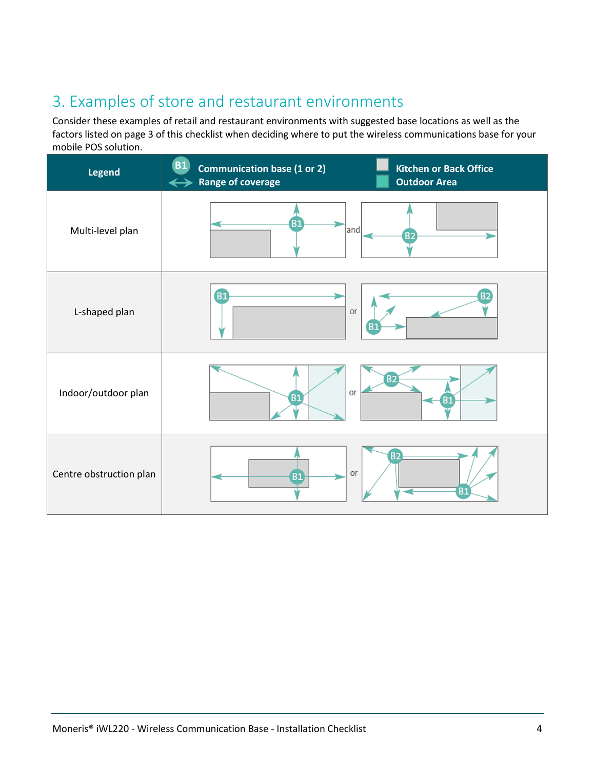## 3. Examples of store and restaurant environments

Consider these examples of retail and restaurant environments with suggested base locations as well as the factors listed on page 3 of this checklist when deciding where to put the wireless communications base for your mobile POS solution.

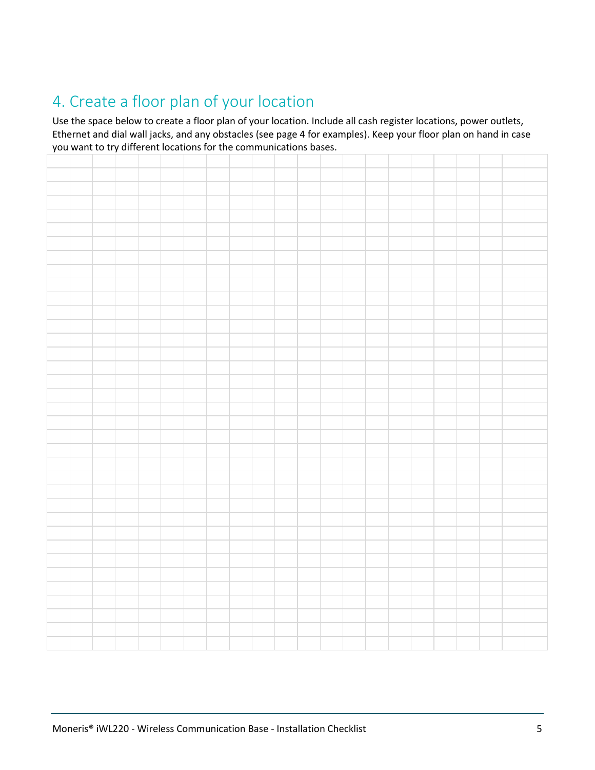## 4. Create a floor plan of your location

Use the space below to create a floor plan of your location. Include all cash register locations, power outlets, Ethernet and dial wall jacks, and any obstacles (see page 4 for examples). Keep your floor plan on hand in case you want to try different locations for the communications bases.

|  |  | you want to try amerent locations for the communications bases. |  |  |  |  |  |  |  |  |  |
|--|--|-----------------------------------------------------------------|--|--|--|--|--|--|--|--|--|
|  |  |                                                                 |  |  |  |  |  |  |  |  |  |
|  |  |                                                                 |  |  |  |  |  |  |  |  |  |
|  |  |                                                                 |  |  |  |  |  |  |  |  |  |
|  |  |                                                                 |  |  |  |  |  |  |  |  |  |
|  |  |                                                                 |  |  |  |  |  |  |  |  |  |
|  |  |                                                                 |  |  |  |  |  |  |  |  |  |
|  |  |                                                                 |  |  |  |  |  |  |  |  |  |
|  |  |                                                                 |  |  |  |  |  |  |  |  |  |
|  |  |                                                                 |  |  |  |  |  |  |  |  |  |
|  |  |                                                                 |  |  |  |  |  |  |  |  |  |
|  |  |                                                                 |  |  |  |  |  |  |  |  |  |
|  |  |                                                                 |  |  |  |  |  |  |  |  |  |
|  |  |                                                                 |  |  |  |  |  |  |  |  |  |
|  |  |                                                                 |  |  |  |  |  |  |  |  |  |
|  |  |                                                                 |  |  |  |  |  |  |  |  |  |
|  |  |                                                                 |  |  |  |  |  |  |  |  |  |
|  |  |                                                                 |  |  |  |  |  |  |  |  |  |
|  |  |                                                                 |  |  |  |  |  |  |  |  |  |
|  |  |                                                                 |  |  |  |  |  |  |  |  |  |
|  |  |                                                                 |  |  |  |  |  |  |  |  |  |
|  |  |                                                                 |  |  |  |  |  |  |  |  |  |
|  |  |                                                                 |  |  |  |  |  |  |  |  |  |
|  |  |                                                                 |  |  |  |  |  |  |  |  |  |
|  |  |                                                                 |  |  |  |  |  |  |  |  |  |
|  |  |                                                                 |  |  |  |  |  |  |  |  |  |
|  |  |                                                                 |  |  |  |  |  |  |  |  |  |
|  |  |                                                                 |  |  |  |  |  |  |  |  |  |
|  |  |                                                                 |  |  |  |  |  |  |  |  |  |
|  |  |                                                                 |  |  |  |  |  |  |  |  |  |
|  |  |                                                                 |  |  |  |  |  |  |  |  |  |
|  |  |                                                                 |  |  |  |  |  |  |  |  |  |
|  |  |                                                                 |  |  |  |  |  |  |  |  |  |
|  |  |                                                                 |  |  |  |  |  |  |  |  |  |
|  |  |                                                                 |  |  |  |  |  |  |  |  |  |
|  |  |                                                                 |  |  |  |  |  |  |  |  |  |
|  |  |                                                                 |  |  |  |  |  |  |  |  |  |
|  |  |                                                                 |  |  |  |  |  |  |  |  |  |
|  |  |                                                                 |  |  |  |  |  |  |  |  |  |
|  |  |                                                                 |  |  |  |  |  |  |  |  |  |
|  |  |                                                                 |  |  |  |  |  |  |  |  |  |
|  |  |                                                                 |  |  |  |  |  |  |  |  |  |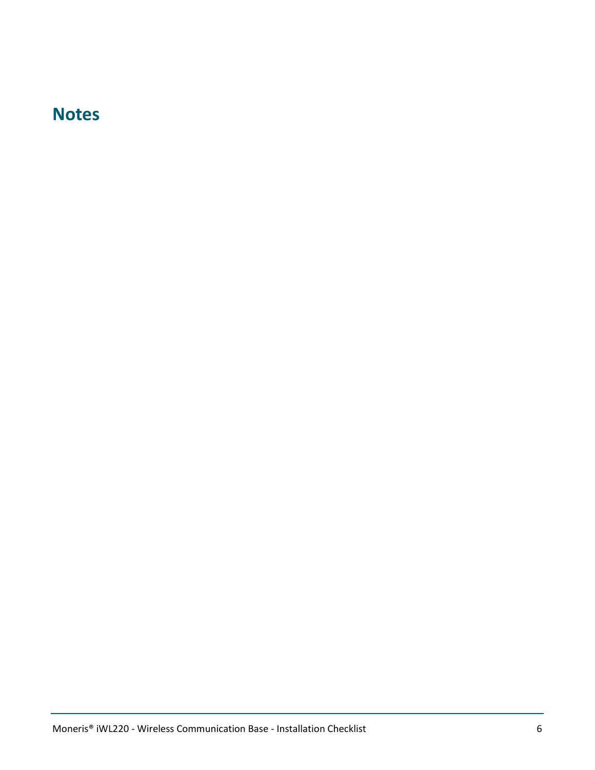## **Notes**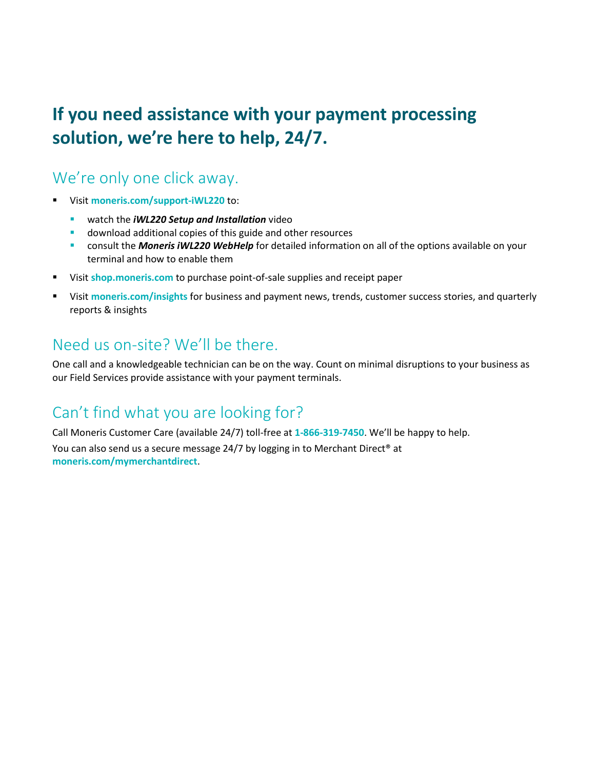## **If you need assistance with your payment processing solution, we're here to help, 24/7.**

## We're only one click away.

- Visit **[moneris.com/support-iWL220](https://moneris.com/support-iwl220)** to:
	- watch the *iWL220 Setup and Installation* video
	- download additional copies of this guide and other resources
	- consult the *Moneris iWL220 WebHelp* for detailed information on all of the options available on your terminal and how to enable them
- Visit **[shop.moneris.com](https://shop.moneris.com/)** to purchase point-of-sale supplies and receipt paper
- Visit **[moneris.com/insights](https://moneris.com/insights)** for business and payment news, trends, customer success stories, and quarterly reports & insights

## Need us on-site? We'll be there.

One call and a knowledgeable technician can be on the way. Count on minimal disruptions to your business as our Field Services provide assistance with your payment terminals.

## Can't find what you are looking for?

Call Moneris Customer Care (available 24/7) toll-free at **1-866-319-7450**. We'll be happy to help.

You can also send us a secure message 24/7 by logging in to Merchant Direct® at **[moneris.com/mymerchantdirect](https://moneris.com/mymerchantdirect)**.